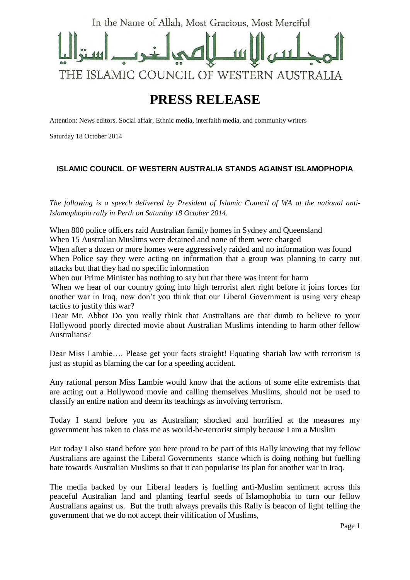

## **PRESS RELEASE**

Attention: News editors. Social affair, Ethnic media, interfaith media, and community writers

Saturday 18 October 2014

## **ISLAMIC COUNCIL OF WESTERN AUSTRALIA STANDS AGAINST ISLAMOPHOPIA**

*The following is a speech delivered by President of Islamic Council of WA at the national anti-Islamophopia rally in Perth on Saturday 18 October 2014.*

When 800 police officers raid Australian family homes in Sydney and Queensland When 15 Australian Muslims were detained and none of them were charged

When after a dozen or more homes were aggressively raided and no information was found When Police say they were acting on information that a group was planning to carry out attacks but that they had no specific information

When our Prime Minister has nothing to say but that there was intent for harm

When we hear of our country going into high terrorist alert right before it joins forces for another war in Iraq, now don't you think that our Liberal Government is using very cheap tactics to justify this war?

Dear Mr. Abbot Do you really think that Australians are that dumb to believe to your Hollywood poorly directed movie about Australian Muslims intending to harm other fellow Australians?

Dear Miss Lambie…. Please get your facts straight! Equating shariah law with terrorism is just as stupid as blaming the car for a speeding accident.

Any rational person Miss Lambie would know that the actions of some elite extremists that are acting out a Hollywood movie and calling themselves Muslims, should not be used to classify an entire nation and deem its teachings as involving terrorism.

Today I stand before you as Australian; shocked and horrified at the measures my government has taken to class me as would-be-terrorist simply because I am a Muslim

But today I also stand before you here proud to be part of this Rally knowing that my fellow Australians are against the Liberal Governments stance which is doing nothing but fuelling hate towards Australian Muslims so that it can popularise its plan for another war in Iraq.

The media backed by our Liberal leaders is fuelling anti-Muslim sentiment across this peaceful Australian land and planting fearful seeds of Islamophobia to turn our fellow Australians against us. But the truth always prevails this Rally is beacon of light telling the government that we do not accept their vilification of Muslims,